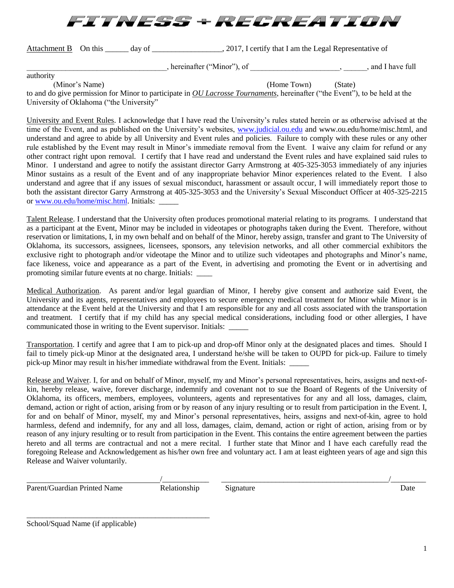

Attachment B On this \_\_\_\_\_ day of \_\_\_\_\_\_\_\_\_\_\_\_\_\_\_\_\_, 2017, I certify that I am the Legal Representative of

hereinafter ("Minor"), of  $\Box$  , and I have full

authority

(Minor's Name) (Home Town) (State)

to and do give permission for Minor to participate in *OU Lacrosse Tournaments*, hereinafter ("the Event"), to be held at the University of Oklahoma ("the University"

University and Event Rules. I acknowledge that I have read the University's rules stated herein or as otherwise advised at the time of the Event, and as published on the University's websites, [www.judicial.ou.edu](http://www.judicial.ou.edu/) and www.ou.edu/home/misc.html, and understand and agree to abide by all University and Event rules and policies. Failure to comply with these rules or any other rule established by the Event may result in Minor's immediate removal from the Event. I waive any claim for refund or any other contract right upon removal. I certify that I have read and understand the Event rules and have explained said rules to Minor. I understand and agree to notify the assistant director Garry Armstrong at 405-325-3053 immediately of any injuries Minor sustains as a result of the Event and of any inappropriate behavior Minor experiences related to the Event. I also understand and agree that if any issues of sexual misconduct, harassment or assault occur, I will immediately report those to both the assistant director Garry Armstrong at 405-325-3053 and the University's Sexual Misconduct Officer at 405-325-2215 or [www.ou.edu/home/misc.html.](http://www.ou.edu/home/misc.html) Initials:

Talent Release. I understand that the University often produces promotional material relating to its programs. I understand that as a participant at the Event, Minor may be included in videotapes or photographs taken during the Event. Therefore, without reservation or limitations, I, in my own behalf and on behalf of the Minor, hereby assign, transfer and grant to The University of Oklahoma, its successors, assignees, licensees, sponsors, any television networks, and all other commercial exhibitors the exclusive right to photograph and/or videotape the Minor and to utilize such videotapes and photographs and Minor's name, face likeness, voice and appearance as a part of the Event, in advertising and promoting the Event or in advertising and promoting similar future events at no charge. Initials: \_\_\_\_

Medical Authorization. As parent and/or legal guardian of Minor, I hereby give consent and authorize said Event, the University and its agents, representatives and employees to secure emergency medical treatment for Minor while Minor is in attendance at the Event held at the University and that I am responsible for any and all costs associated with the transportation and treatment. I certify that if my child has any special medical considerations, including food or other allergies, I have communicated those in writing to the Event supervisor. Initials: \_\_\_\_\_

Transportation. I certify and agree that I am to pick-up and drop-off Minor only at the designated places and times. Should I fail to timely pick-up Minor at the designated area, I understand he/she will be taken to OUPD for pick-up. Failure to timely pick-up Minor may result in his/her immediate withdrawal from the Event. Initials: \_\_\_\_\_

Release and Waiver. I, for and on behalf of Minor, myself, my and Minor's personal representatives, heirs, assigns and next-ofkin, hereby release, waive, forever discharge, indemnify and covenant not to sue the Board of Regents of the University of Oklahoma, its officers, members, employees, volunteers, agents and representatives for any and all loss, damages, claim, demand, action or right of action, arising from or by reason of any injury resulting or to result from participation in the Event. I, for and on behalf of Minor, myself, my and Minor's personal representatives, heirs, assigns and next-of-kin, agree to hold harmless, defend and indemnify, for any and all loss, damages, claim, demand, action or right of action, arising from or by reason of any injury resulting or to result from participation in the Event. This contains the entire agreement between the parties hereto and all terms are contractual and not a mere recital. I further state that Minor and I have each carefully read the foregoing Release and Acknowledgement as his/her own free and voluntary act. I am at least eighteen years of age and sign this Release and Waiver voluntarily.

Parent/Guardian Printed Name Relationship Signature Date Date

/\_\_\_\_\_\_\_\_\_\_\_\_ \_\_\_\_\_\_\_\_\_\_\_\_\_\_\_\_\_\_\_\_\_\_\_\_\_\_\_\_\_\_\_\_\_\_\_\_\_\_\_\_\_\_\_/\_\_\_\_\_\_\_\_\_

\_\_\_\_\_\_\_\_\_\_\_\_\_\_\_\_\_\_\_\_\_\_\_\_\_\_\_\_\_\_\_\_\_\_\_\_\_\_\_\_\_\_\_\_\_\_\_ School/Squad Name (if applicable)